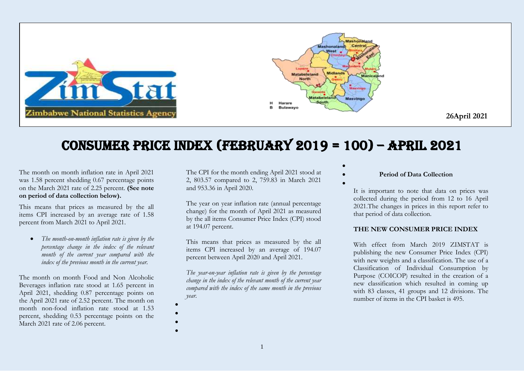

## Consumer Price Index (FEBRUARY 2019 = 100) – APRIL 2021

The month on month inflation rate in April 2021 was 1.58 percent shedding 0.67 percentage points on the March 2021 rate of 2.25 percent. **(See note on period of data collection below).**

This means that prices as measured by the all items CPI increased by an average rate of 1.58 percent from March 2021 to April 2021.

 *The month-on-month inflation rate is given by the percentage change in the index of the relevant month of the current year compared with the index of the previous month in the current year.*

The month on month Food and Non Alcoholic Beverages inflation rate stood at 1.65 percent in April 2021, shedding 0.87 percentage points on the April 2021 rate of 2.52 percent. The month on month non-food inflation rate stood at 1.53 percent, shedding 0.53 percentage points on the March 2021 rate of 2.06 percent.

The CPI for the month ending April 2021 stood at 2, 803.57 compared to 2, 759.83 in March 2021 and 953.36 in April 2020.

The year on year inflation rate (annual percentage change) for the month of April 2021 as measured by the all items Consumer Price Index (CPI) stood at 194.07 percent.

This means that prices as measured by the all items CPI increased by an average of 194.07 percent between April 2020 and April 2021.

*The year-on-year inflation rate is given by the percentage change in the index of the relevant month of the current year compared with the index of the same month in the previous year.* 

 $\bullet$  $\bullet$ 

> $\bullet$  $\bullet$

**Period of Data Collection**

 $\bullet$ 

 $\bullet$ 

It is important to note that data on prices was collected during the period from 12 to 16 April 2021.The changes in prices in this report refer to that period of data collection.

## **THE NEW CONSUMER PRICE INDEX**

With effect from March 2019 ZIMSTAT is publishing the new Consumer Price Index (CPI) with new weights and a classification. The use of a Classification of Individual Consumption by Purpose (COICOP) resulted in the creation of a new classification which resulted in coming up with 83 classes, 41 groups and 12 divisions. The number of items in the CPI basket is 495.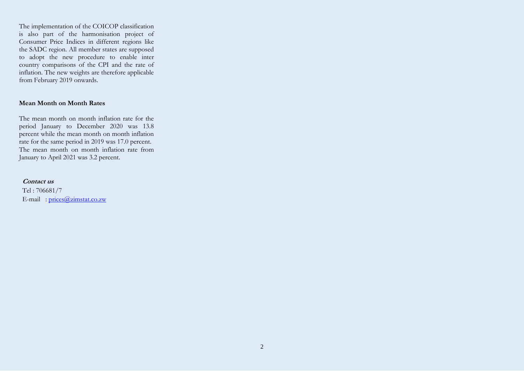The implementation of the COICOP classification is also part of the harmonisation project of Consumer Price Indices in different regions like the SADC region. All member states are supposed to adopt the new procedure to enable inter country comparisons of the CPI and the rate of inflation. The new weights are therefore applicable from February 2019 onwards.

## **Mean Month on Month Rates**

The mean month on month inflation rate for the period January to December 2020 was 13.8 percent while the mean month on month inflation rate for the same period in 2019 was 17.0 percent. The mean month on month inflation rate from January to April 2021 was 3.2 percent.

## **Contact us**

Tel : 706681/7 E-mail :  $\text{prices}(\widehat{a}/\text{zimstat.co.zw})$